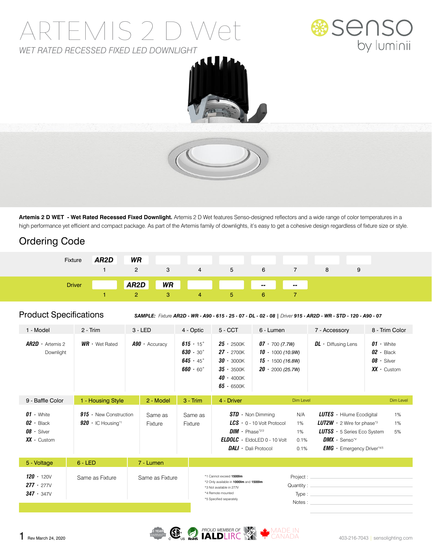## ARTEMIS 2 D We *WET RATED RECESSED FIXED LED DOWNLIGHT*







**Artemis 2 D WET - Wet Rated Recessed Fixed Downlight.** Artemis 2 D Wet features Senso-designed reflectors and a wide range of color temperatures in a high performance yet efficient and compact package. As part of the Artemis family of downlights, it's easy to get a cohesive design regardless of fixture size or style.

### Ordering Code

| Fixture       | AR <sub>2</sub> D | WR             |              |                                         |              |        |        |   |  |
|---------------|-------------------|----------------|--------------|-----------------------------------------|--------------|--------|--------|---|--|
|               |                   | $\overline{2}$ | $\mathbf{3}$ | 4                                       | <sub>5</sub> | 6      |        | 8 |  |
| <b>Driver</b> |                   | AR2D           | WR           | <b>Service State</b><br><b>Contract</b> |              | $\sim$ | $\sim$ |   |  |
|               |                   | $2^{\circ}$    | <b>37</b>    | 4                                       | <b>b</b>     | 6.     |        |   |  |

#### Product Specifications

*SAMPLE: Fixture AR2D - WR - A90 - 615 - 25 - 07 - DL - 02 - 08 | Driver 915 - AR2D - WR - STD - 120 - A90 - 07*

| 1 - Model                                                                  | $2 - Trim$                                                       | $3 - LED$          | 4 - Optic                                                                                            | $5 - CCT$                                                                                                                                     | 6 - Lumen                                                                                            |                                                    | 7 - Accessory                                                                                                                                                                                         | 8 - Trim Color                                                             |
|----------------------------------------------------------------------------|------------------------------------------------------------------|--------------------|------------------------------------------------------------------------------------------------------|-----------------------------------------------------------------------------------------------------------------------------------------------|------------------------------------------------------------------------------------------------------|----------------------------------------------------|-------------------------------------------------------------------------------------------------------------------------------------------------------------------------------------------------------|----------------------------------------------------------------------------|
| $AR2D \cdot$ Artemis 2<br>Downlight                                        | $WR \cdot$ Wet Rated                                             | $A90 -$ Accuracy   | $615 \cdot 15^{\circ}$<br>$630 \cdot 30^{\circ}$<br>$645 \cdot 45^{\circ}$<br>$660 \cdot 60^{\circ}$ | $25 \cdot 2500K$<br>$27 \cdot 2700K$<br>$30 \cdot 3000K$<br>$35 \cdot 3500K$<br>$40 \cdot 4000K$<br>$65 - 6500K$                              | $07 \cdot 700(7.7W)$<br>10 $\cdot$ 1000 (10.9W)<br>$15 \cdot 1500$ (16.8W)<br>$20 \cdot 2000(25.7W)$ |                                                    | $DL \cdot$ Diffusing Lens                                                                                                                                                                             | $01 \cdot$ White<br>$02 -$ Black<br>$08 \cdot$ Silver<br>$XX \cdot$ Custom |
| 9 - Baffle Color                                                           | 1 - Housing Style                                                | 2 - Model          | $3 - Trim$                                                                                           | 4 - Driver                                                                                                                                    |                                                                                                      | Dim Level                                          |                                                                                                                                                                                                       | Dim Level                                                                  |
| $01 \cdot$ White<br>$02 -$ Black<br>$08 \cdot$ Silver<br>$XX \cdot$ Custom | $915$ · New Construction<br>$920 \cdot$ IC Housing* <sup>1</sup> | Same as<br>Fixture | Same as<br>Fixture                                                                                   | $DIM \cdot$ Phase*2/3<br><b>DALI</b> $\cdot$ Dali Protocol                                                                                    | $STD \cdot$ Non Dimming<br>$LCS - 0 - 10$ Volt Protocol<br><b>ELDOLC</b> $\cdot$ EldoLED 0 - 10 Volt | N/A<br>1%<br>1%<br>0.1%<br>0.1%                    | <b>LUTES</b> $\cdot$ Hilume Ecodigital<br><b>LUT2W</b> $\cdot$ 2 Wire for phase <sup>*3</sup><br><b>LUT5S</b> $\cdot$ 5 Series Eco System<br>$DMX \cdot$ Senso*4<br><b>EMG</b> · Emergency Driver*4/5 | 1%<br>1%<br>5%                                                             |
| 5 - Voltage                                                                | $6 - LED$                                                        | 7 - Lumen          |                                                                                                      |                                                                                                                                               |                                                                                                      |                                                    |                                                                                                                                                                                                       |                                                                            |
| $120 \cdot 120V$<br>$277 \cdot 277V$<br>$347 \cdot 347V$                   | Same as Fixture                                                  | Same as Fixture    |                                                                                                      | *1 Cannot exceed 1500lm<br>*2 Only available in 1000lm and 1500lm<br>*3 Not available in 277V<br>*4 Remote mounted<br>*5 Specified separately |                                                                                                      | Project:<br>Quantity : $\equiv$<br>Type:<br>Notes: |                                                                                                                                                                                                       |                                                                            |

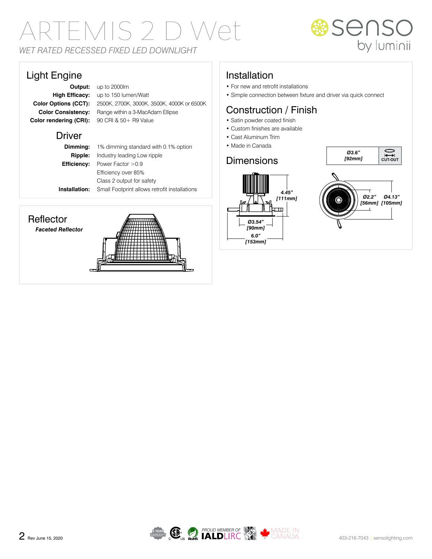# ARTEMIS 2 D Wet *WET RATED RECESSED FIXED LED DOWNLIGHT*

### Light Engine

**Color rendering (CRI):** 90 CRI & 50+ R9 Value

**Output:** up to 2000lm **High Efficacy:** up to 150 lumen/Watt **Color Options (CCT):** 2500K, 2700K, 3000K, 3500K, 4000K or 6500K **Color Consistency:** Range within a 3-MacAdam Ellipse

#### **Driver**

**Dimming:** 1% dimming standard with 0.1% option **Ripple:** Industry leading Low ripple **Efficiency:** Power Factor >0.9 Efficiency over 85% Class 2 output for safety **Installation:** Small Footprint allows retrofit installations

#### **Reflector**

*Faceted Reflector*



### Installation

- For new and retrofit installations
- Simple connection between fixture and driver via quick connect

## Construction / Finish

- Satin powder coated finish
- Custom finishes are available
- Cast Aluminum Trim
- Made in Canada

#### **Dimensions**





**SENSO**<br>by luminii